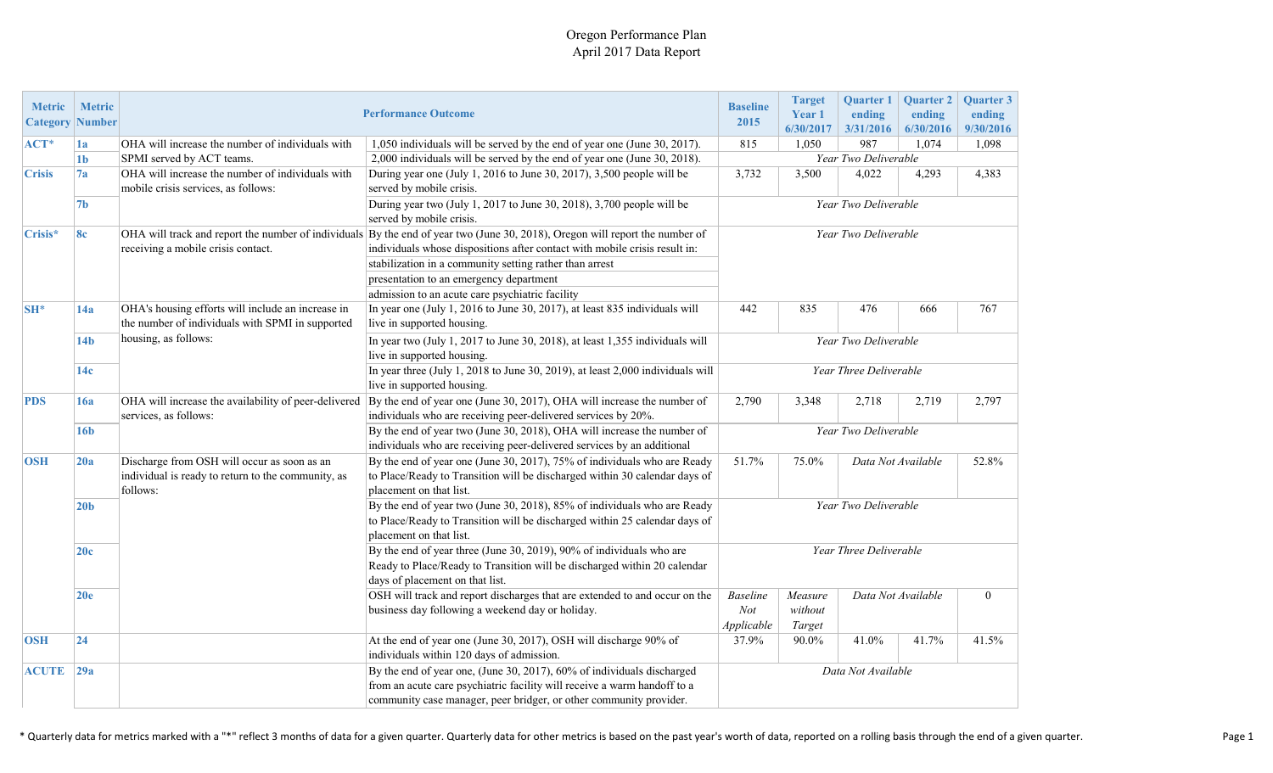#### Oregon Performance Plan April 2017 Data Report

| <b>Metric</b><br><b>Category</b> Number | <b>Metric</b>   | <b>Performance Outcome</b>                                                                                    | <b>Baseline</b><br>2015                                                                                                                                                                                                  | <b>Target</b><br>Year 1<br>6/30/2017                                                       | <b>Quarter 1</b><br>ending<br>3/31/2016 | <b>Ouarter 2</b><br>ending<br>6/30/2016 | <b>Ouarter 3</b><br>ending<br>9/30/2016 |       |  |
|-----------------------------------------|-----------------|---------------------------------------------------------------------------------------------------------------|--------------------------------------------------------------------------------------------------------------------------------------------------------------------------------------------------------------------------|--------------------------------------------------------------------------------------------|-----------------------------------------|-----------------------------------------|-----------------------------------------|-------|--|
| $ACT*$                                  | 1a              | OHA will increase the number of individuals with                                                              | 1,050 individuals will be served by the end of year one (June 30, 2017).                                                                                                                                                 | 815                                                                                        | 1,050                                   | 987                                     | 1,074                                   | 1,098 |  |
|                                         | 1 <sub>b</sub>  | SPMI served by ACT teams.<br>2,000 individuals will be served by the end of year one (June 30, 2018).         |                                                                                                                                                                                                                          |                                                                                            | Year Two Deliverable                    |                                         |                                         |       |  |
| <b>Crisis</b>                           | 7a              | OHA will increase the number of individuals with<br>mobile crisis services, as follows:                       | During year one (July 1, 2016 to June 30, 2017), 3,500 people will be<br>served by mobile crisis.                                                                                                                        | 3,732                                                                                      | 3,500                                   | 4,022                                   | 4,293                                   | 4,383 |  |
|                                         | 7 <sub>b</sub>  | During year two (July 1, 2017 to June 30, 2018), 3,700 people will be<br>served by mobile crisis.             |                                                                                                                                                                                                                          |                                                                                            |                                         | Year Two Deliverable                    |                                         |       |  |
| Crisis*                                 | 8c              | receiving a mobile crisis contact.                                                                            | OHA will track and report the number of individuals By the end of year two (June 30, 2018), Oregon will report the number of<br>individuals whose dispositions after contact with mobile crisis result in:               | Year Two Deliverable                                                                       |                                         |                                         |                                         |       |  |
|                                         |                 |                                                                                                               | stabilization in a community setting rather than arrest                                                                                                                                                                  |                                                                                            |                                         |                                         |                                         |       |  |
|                                         |                 |                                                                                                               | presentation to an emergency department                                                                                                                                                                                  |                                                                                            |                                         |                                         |                                         |       |  |
|                                         |                 |                                                                                                               | admission to an acute care psychiatric facility                                                                                                                                                                          |                                                                                            |                                         |                                         |                                         |       |  |
| <b>SH*</b>                              | 14a             | OHA's housing efforts will include an increase in<br>the number of individuals with SPMI in supported         | In year one (July 1, 2016 to June 30, 2017), at least 835 individuals will<br>live in supported housing.                                                                                                                 | 442                                                                                        | 835                                     | 476                                     | 666                                     | 767   |  |
|                                         | 14 <sub>b</sub> | housing, as follows:                                                                                          | In year two (July 1, 2017 to June 30, 2018), at least 1,355 individuals will<br>live in supported housing.                                                                                                               | Year Two Deliverable                                                                       |                                         |                                         |                                         |       |  |
|                                         | 14c             |                                                                                                               | In year three (July 1, 2018 to June 30, 2019), at least 2,000 individuals will<br>live in supported housing.                                                                                                             |                                                                                            |                                         | Year Three Deliverable                  |                                         |       |  |
| <b>PDS</b>                              | 16a             | OHA will increase the availability of peer-delivered<br>services, as follows:                                 | By the end of year one (June 30, 2017), OHA will increase the number of<br>individuals who are receiving peer-delivered services by 20%.                                                                                 |                                                                                            | 3,348                                   | 2,718                                   | 2,719                                   | 2,797 |  |
|                                         | 16 <sub>b</sub> |                                                                                                               | By the end of year two (June 30, 2018), OHA will increase the number of<br>individuals who are receiving peer-delivered services by an additional                                                                        | Year Two Deliverable                                                                       |                                         |                                         |                                         |       |  |
| <b>OSH</b>                              | 20a             | Discharge from OSH will occur as soon as an<br>individual is ready to return to the community, as<br>follows: | By the end of year one (June 30, 2017), 75% of individuals who are Ready<br>to Place/Ready to Transition will be discharged within 30 calendar days of<br>placement on that list.                                        | 51.7%<br>75.0%<br>Data Not Available                                                       |                                         |                                         | 52.8%                                   |       |  |
|                                         | 20 <sub>b</sub> |                                                                                                               | By the end of year two (June 30, 2018), 85% of individuals who are Ready<br>to Place/Ready to Transition will be discharged within 25 calendar days of<br>placement on that list.                                        | Year Two Deliverable                                                                       |                                         |                                         |                                         |       |  |
|                                         | 20c             |                                                                                                               | By the end of year three (June 30, 2019), 90% of individuals who are<br>Ready to Place/Ready to Transition will be discharged within 20 calendar<br>days of placement on that list.                                      | Year Three Deliverable                                                                     |                                         |                                         |                                         |       |  |
|                                         | 20e             |                                                                                                               | OSH will track and report discharges that are extended to and occur on the<br>business day following a weekend day or holiday.                                                                                           | Data Not Available<br><b>Baseline</b><br>Measure<br>Not<br>without<br>Applicable<br>Target |                                         | $\mathbf{0}$                            |                                         |       |  |
| <b>OSH</b>                              | 24              |                                                                                                               | At the end of year one (June 30, 2017), OSH will discharge 90% of<br>individuals within 120 days of admission.                                                                                                           | 37.9%                                                                                      | 90.0%                                   | 41.0%                                   | 41.7%                                   | 41.5% |  |
| <b>ACUTE</b>                            | 29a             |                                                                                                               | By the end of year one, (June 30, 2017), 60% of individuals discharged<br>from an acute care psychiatric facility will receive a warm handoff to a<br>community case manager, peer bridger, or other community provider. | Data Not Available                                                                         |                                         |                                         |                                         |       |  |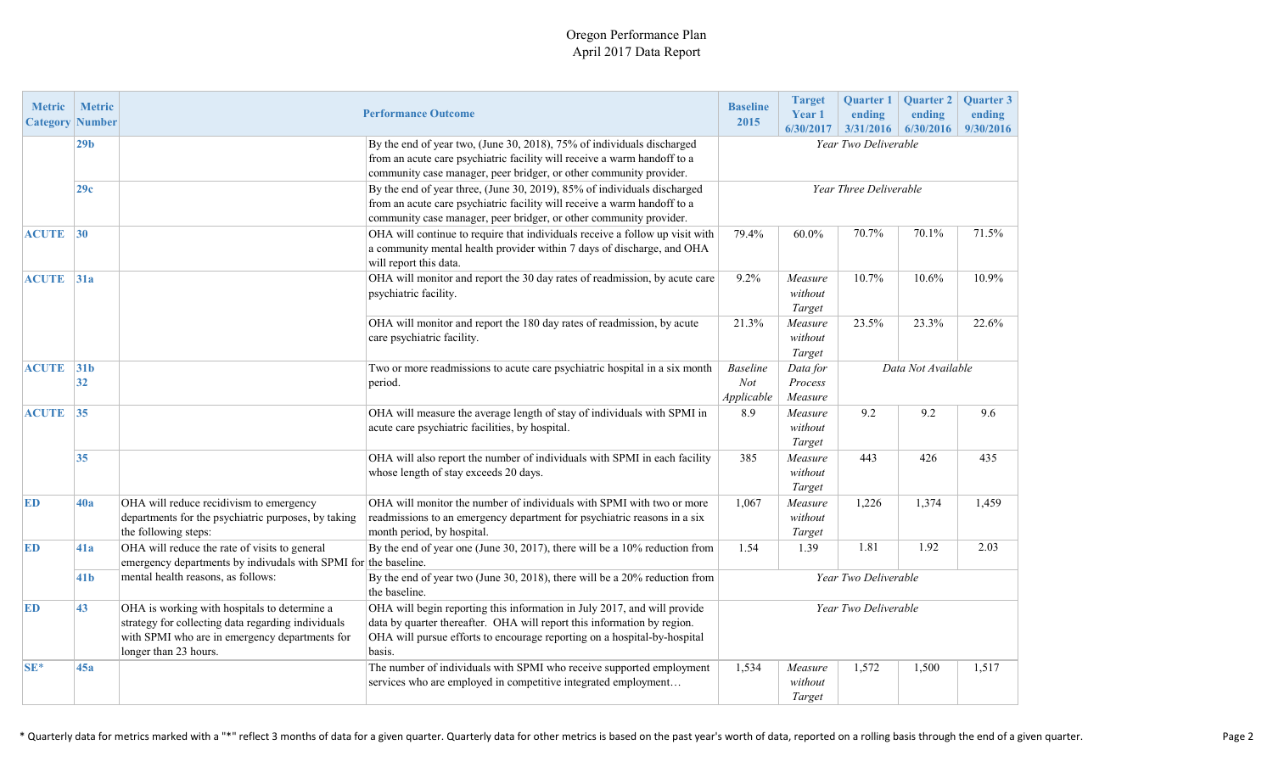#### Oregon Performance Plan April 2017 Data Report

| <b>Metric</b><br><b>Category</b> | <b>Metric</b><br>Number                   |                                                                                                                                                                               | <b>Performance Outcome</b>                                                                                                                                                                                                                |                                                                                              | <b>Target</b><br>Year 1<br>6/30/2017 | <b>Quarter 1</b><br>ending<br>3/31/2016 | <b>Quarter 2</b><br>ending<br>6/30/2016 | Quarter 3<br>ending<br>9/30/2016 |
|----------------------------------|-------------------------------------------|-------------------------------------------------------------------------------------------------------------------------------------------------------------------------------|-------------------------------------------------------------------------------------------------------------------------------------------------------------------------------------------------------------------------------------------|----------------------------------------------------------------------------------------------|--------------------------------------|-----------------------------------------|-----------------------------------------|----------------------------------|
|                                  | 29 <sub>b</sub>                           |                                                                                                                                                                               | By the end of year two, (June 30, 2018), 75% of individuals discharged<br>from an acute care psychiatric facility will receive a warm handoff to a<br>community case manager, peer bridger, or other community provider.                  | Year Two Deliverable                                                                         |                                      |                                         |                                         |                                  |
|                                  | 29c                                       |                                                                                                                                                                               | By the end of year three, (June 30, 2019), 85% of individuals discharged<br>from an acute care psychiatric facility will receive a warm handoff to a<br>community case manager, peer bridger, or other community provider.                | Year Three Deliverable                                                                       |                                      |                                         |                                         |                                  |
| <b>ACUTE</b> 30                  |                                           |                                                                                                                                                                               | OHA will continue to require that individuals receive a follow up visit with<br>a community mental health provider within 7 days of discharge, and OHA<br>will report this data.                                                          | 79.4%                                                                                        | 60.0%                                | 70.7%                                   | 70.1%                                   | 71.5%                            |
|                                  | <b>ACUTE</b> 31a<br>psychiatric facility. |                                                                                                                                                                               | OHA will monitor and report the 30 day rates of readmission, by acute care                                                                                                                                                                | 9.2%                                                                                         | Measure<br>without<br>Target         | 10.7%                                   | 10.6%                                   | 10.9%                            |
|                                  |                                           |                                                                                                                                                                               | OHA will monitor and report the 180 day rates of readmission, by acute<br>care psychiatric facility.                                                                                                                                      | 21.3%                                                                                        | Measure<br>without<br>Target         | 23.5%                                   | 23.3%                                   | 22.6%                            |
| <b>ACUTE</b> 31b                 | 32                                        |                                                                                                                                                                               | Two or more readmissions to acute care psychiatric hospital in a six month<br>period.                                                                                                                                                     | <b>Baseline</b><br>Data for<br>Data Not Available<br>Not<br>Process<br>Applicable<br>Measure |                                      |                                         |                                         |                                  |
| <b>ACUTE</b> 35                  |                                           |                                                                                                                                                                               | OHA will measure the average length of stay of individuals with SPMI in<br>acute care psychiatric facilities, by hospital.                                                                                                                | 8.9                                                                                          | Measure<br>without<br>Target         | 9.2                                     | 9.2                                     | 9.6                              |
|                                  | 35                                        |                                                                                                                                                                               | OHA will also report the number of individuals with SPMI in each facility<br>whose length of stay exceeds 20 days.                                                                                                                        | 385                                                                                          | Measure<br>without<br>Target         | 443                                     | 426                                     | 435                              |
| <b>ED</b>                        | 40a                                       | OHA will reduce recidivism to emergency<br>departments for the psychiatric purposes, by taking<br>the following steps:                                                        | OHA will monitor the number of individuals with SPMI with two or more<br>readmissions to an emergency department for psychiatric reasons in a six<br>month period, by hospital.                                                           | 1,067                                                                                        | Measure<br>without<br>Target         | 1,226                                   | 1,374                                   | 1,459                            |
| ED                               | 41a                                       | OHA will reduce the rate of visits to general<br>emergency departments by indivudals with SPMI for the baseline.                                                              | By the end of year one (June 30, 2017), there will be a 10% reduction from                                                                                                                                                                | 1.54                                                                                         | 1.39                                 | 1.81                                    | 1.92                                    | 2.03                             |
|                                  | 41 <sub>b</sub>                           | mental health reasons, as follows:<br>By the end of year two (June 30, 2018), there will be a 20% reduction from<br>the baseline.                                             |                                                                                                                                                                                                                                           | Year Two Deliverable                                                                         |                                      |                                         |                                         |                                  |
| <b>ED</b>                        | 43                                        | OHA is working with hospitals to determine a<br>strategy for collecting data regarding individuals<br>with SPMI who are in emergency departments for<br>longer than 23 hours. | OHA will begin reporting this information in July 2017, and will provide<br>data by quarter thereafter. OHA will report this information by region.<br>OHA will pursue efforts to encourage reporting on a hospital-by-hospital<br>basis. | Year Two Deliverable                                                                         |                                      |                                         |                                         |                                  |
| $SE*$                            | 45a                                       |                                                                                                                                                                               | The number of individuals with SPMI who receive supported employment<br>services who are employed in competitive integrated employment                                                                                                    | 1,534                                                                                        | Measure<br>without<br>Target         | 1,572                                   | 1,500                                   | 1,517                            |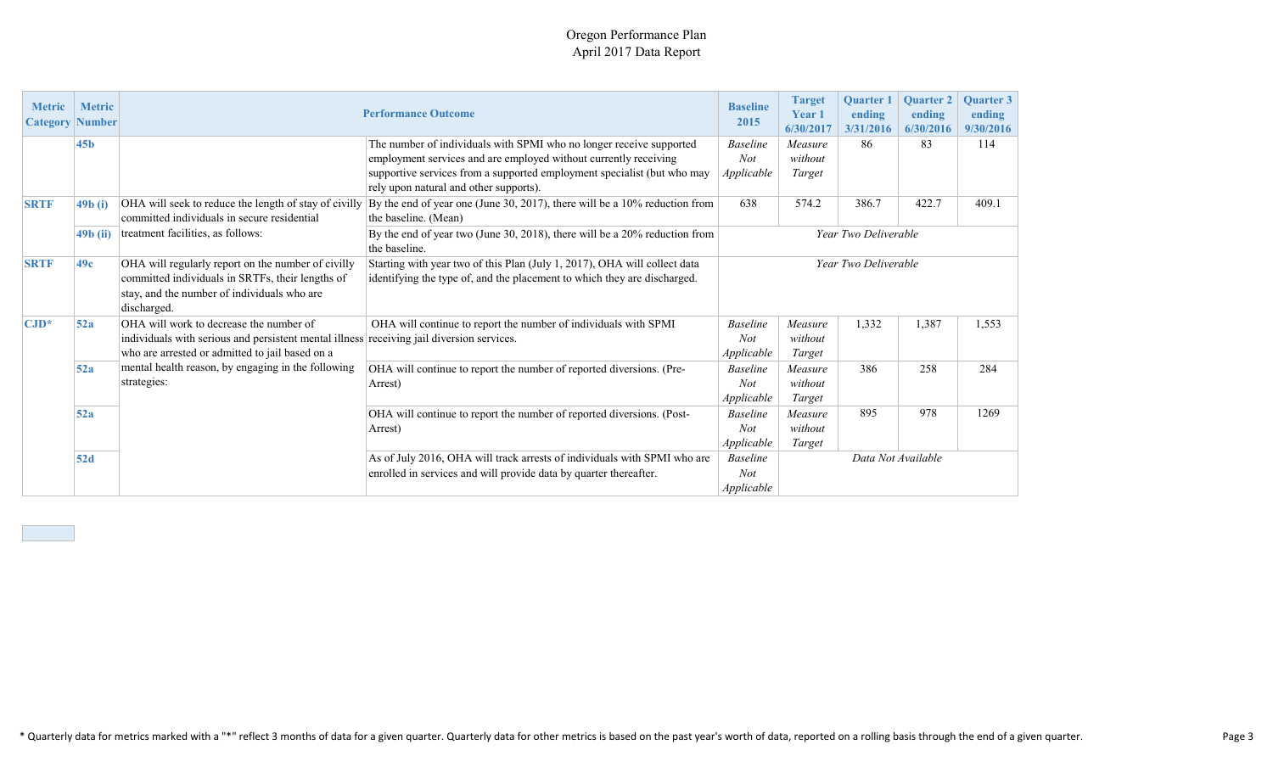#### Oregon Performance Plan April 2017 Data Report

| <b>Metric</b><br><b>Category   Number</b> | <b>Metric</b>     | <b>Performance Outcome</b>                                                                                                                                                              | <b>Baseline</b><br>2015                                                                                                                               | <b>Target</b><br><b>Year 1</b><br>6/30/2017 | <b>Ouarter 1</b><br>ending<br>3/31/2016 | <b>Ouarter 2</b><br>ending<br>6/30/2016 | <b>Ouarter 3</b><br>ending<br>9/30/2016 |       |
|-------------------------------------------|-------------------|-----------------------------------------------------------------------------------------------------------------------------------------------------------------------------------------|-------------------------------------------------------------------------------------------------------------------------------------------------------|---------------------------------------------|-----------------------------------------|-----------------------------------------|-----------------------------------------|-------|
|                                           | 45 <sub>b</sub>   |                                                                                                                                                                                         | The number of individuals with SPMI who no longer receive supported<br>employment services and are employed without currently receiving               | <b>Baseline</b><br>Not                      | Measure<br>without                      | 86                                      | 83                                      | 114   |
|                                           |                   |                                                                                                                                                                                         | supportive services from a supported employment specialist (but who may<br>rely upon natural and other supports).                                     | Applicable                                  | Target                                  |                                         |                                         |       |
| <b>SRTF</b><br>$\sqrt{49b}$ (i)           |                   | OHA will seek to reduce the length of stay of civilly<br>committed individuals in secure residential                                                                                    | By the end of year one (June 30, 2017), there will be a $10\%$ reduction from<br>the baseline. (Mean)                                                 | 638                                         | 574.2                                   | 386.7                                   | 422.7                                   | 409.1 |
|                                           | $\sqrt{49b}$ (ii) | treatment facilities, as follows:                                                                                                                                                       | By the end of year two (June 30, 2018), there will be a 20% reduction from<br>the baseline.                                                           |                                             | Year Two Deliverable                    |                                         |                                         |       |
| <b>SRTF</b>                               | 49c               | OHA will regularly report on the number of civilly<br>committed individuals in SRTFs, their lengths of<br>stay, and the number of individuals who are<br>discharged.                    | Starting with year two of this Plan (July 1, 2017), OHA will collect data<br>identifying the type of, and the placement to which they are discharged. | Year Two Deliverable                        |                                         |                                         |                                         |       |
| $\mathbf{CJD}^*$                          | 52a               | OHA will work to decrease the number of<br>individuals with serious and persistent mental illness receiving jail diversion services.<br>who are arrested or admitted to jail based on a | OHA will continue to report the number of individuals with SPMI                                                                                       | <b>Baseline</b><br>Not<br>Applicable        | Measure<br>without<br>Target            | 1,332                                   | 1,387                                   | 1,553 |
|                                           | 52a               | mental health reason, by engaging in the following<br>strategies:                                                                                                                       | OHA will continue to report the number of reported diversions. (Pre-<br>Arrest)                                                                       | <b>Baseline</b><br>Not<br>Applicable        | Measure<br>without<br>Target            | 386                                     | 258                                     | 284   |
|                                           | 52a               |                                                                                                                                                                                         | OHA will continue to report the number of reported diversions. (Post-<br>Arrest)                                                                      | <b>Baseline</b><br>Not<br>Applicable        | Measure<br>without<br>Target            | 895                                     | 978                                     | 1269  |
|                                           | 52d               |                                                                                                                                                                                         | As of July 2016, OHA will track arrests of individuals with SPMI who are<br>enrolled in services and will provide data by quarter thereafter.         | <b>Baseline</b><br><b>Not</b><br>Applicable | Data Not Available                      |                                         |                                         |       |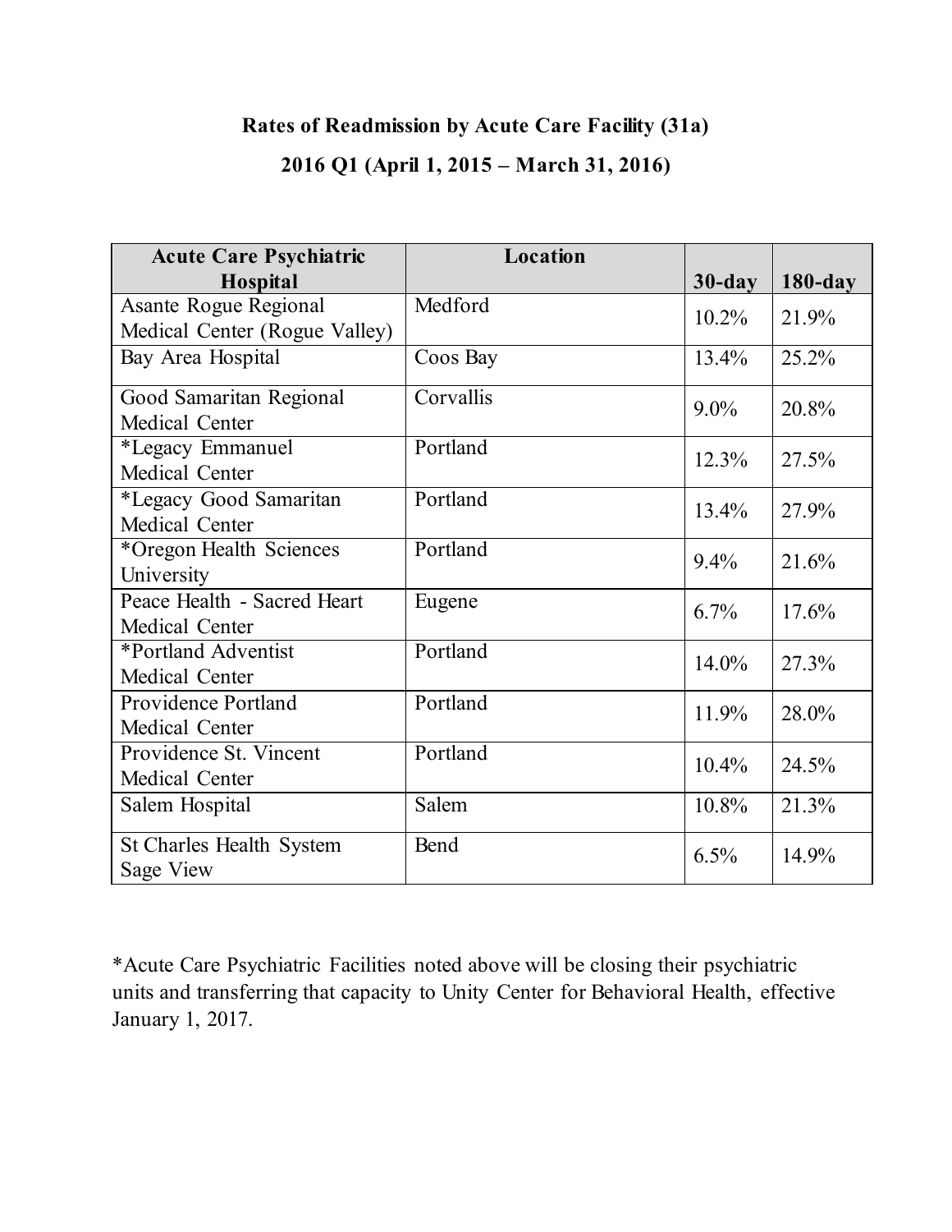# **Rates of Readmission by Acute Care Facility (31a) 2016 Q1 (April 1, 2015 – March 31, 2016)**

| <b>Acute Care Psychiatric</b>   | Location  |           |            |
|---------------------------------|-----------|-----------|------------|
| <b>Hospital</b>                 |           | $30$ -day | $180$ -day |
| <b>Asante Rogue Regional</b>    | Medford   | 10.2%     | 21.9%      |
| Medical Center (Rogue Valley)   |           |           |            |
| Bay Area Hospital               | Coos Bay  | 13.4%     | 25.2%      |
| Good Samaritan Regional         | Corvallis | $9.0\%$   | 20.8%      |
| Medical Center                  |           |           |            |
| *Legacy Emmanuel                | Portland  | 12.3%     | 27.5%      |
| Medical Center                  |           |           |            |
| *Legacy Good Samaritan          | Portland  | $13.4\%$  | 27.9%      |
| Medical Center                  |           |           |            |
| *Oregon Health Sciences         | Portland  | 9.4%      | 21.6%      |
| University                      |           |           |            |
| Peace Health - Sacred Heart     | Eugene    | 6.7%      | 17.6%      |
| Medical Center                  |           |           |            |
| *Portland Adventist             | Portland  | 14.0%     | 27.3%      |
| Medical Center                  |           |           |            |
| Providence Portland             | Portland  | 11.9%     | 28.0%      |
| Medical Center                  |           |           |            |
| Providence St. Vincent          | Portland  | $10.4\%$  | 24.5%      |
| Medical Center                  |           |           |            |
| Salem Hospital                  | Salem     | 10.8%     | 21.3%      |
| <b>St Charles Health System</b> | Bend      | 6.5%      |            |
| Sage View                       |           |           | 14.9%      |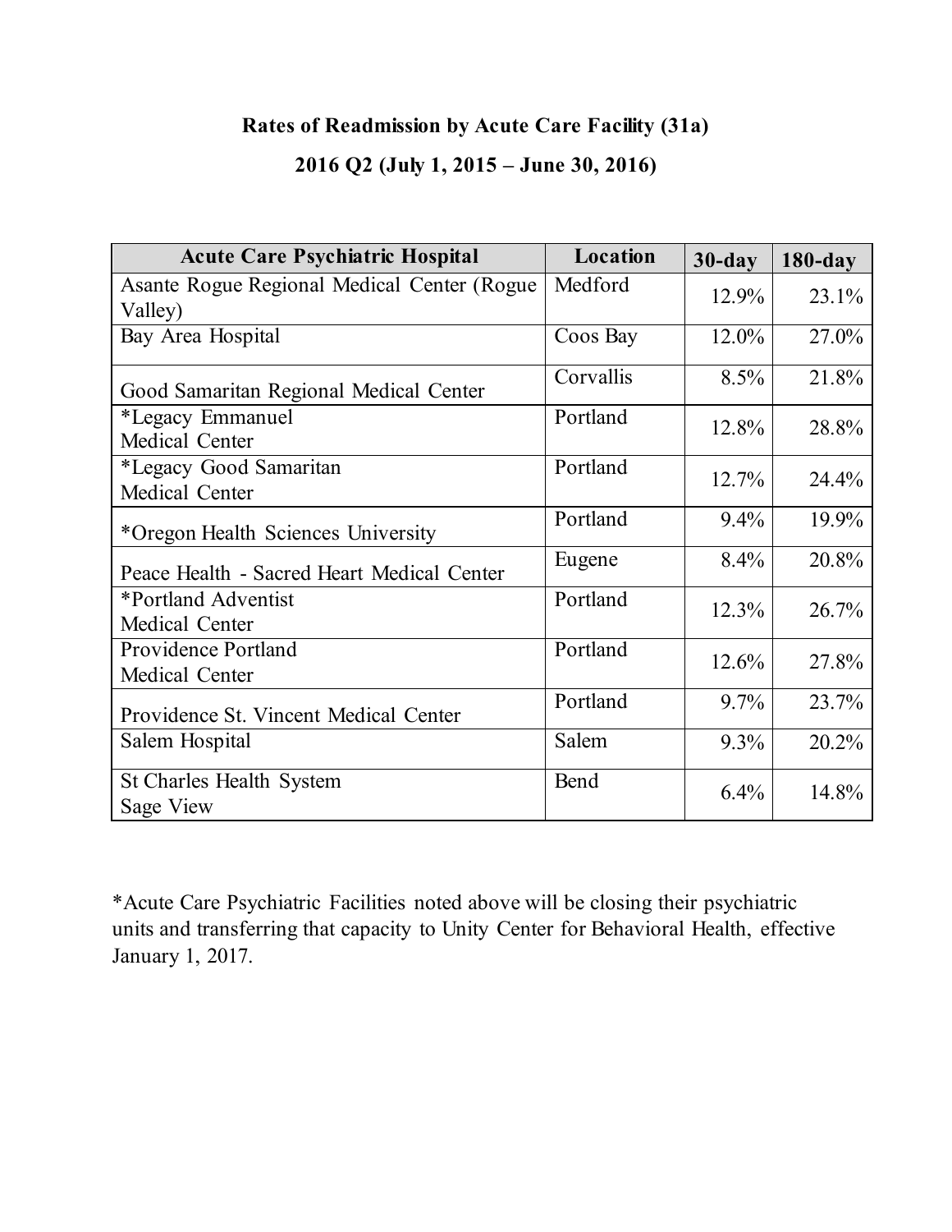# **Rates of Readmission by Acute Care Facility (31a)**

## **2016 Q2 (July 1, 2015 – June 30, 2016)**

| <b>Acute Care Psychiatric Hospital</b>                 | Location  | $30$ -day | $180$ -day |
|--------------------------------------------------------|-----------|-----------|------------|
| Asante Rogue Regional Medical Center (Rogue<br>Valley) | Medford   | $12.9\%$  | 23.1%      |
| Bay Area Hospital                                      | Coos Bay  | $12.0\%$  | 27.0%      |
| Good Samaritan Regional Medical Center                 | Corvallis | 8.5%      | 21.8%      |
| *Legacy Emmanuel<br>Medical Center                     | Portland  | 12.8%     | 28.8%      |
| *Legacy Good Samaritan<br>Medical Center               | Portland  | $12.7\%$  | 24.4%      |
| *Oregon Health Sciences University                     | Portland  | $9.4\%$   | 19.9%      |
| Peace Health - Sacred Heart Medical Center             | Eugene    | $8.4\%$   | 20.8%      |
| *Portland Adventist<br>Medical Center                  | Portland  | 12.3%     | 26.7%      |
| <b>Providence Portland</b><br>Medical Center           | Portland  | 12.6%     | 27.8%      |
| Providence St. Vincent Medical Center                  | Portland  | $9.7\%$   | 23.7%      |
| Salem Hospital                                         | Salem     | 9.3%      | 20.2%      |
| St Charles Health System<br>Sage View                  | Bend      | 6.4%      | 14.8%      |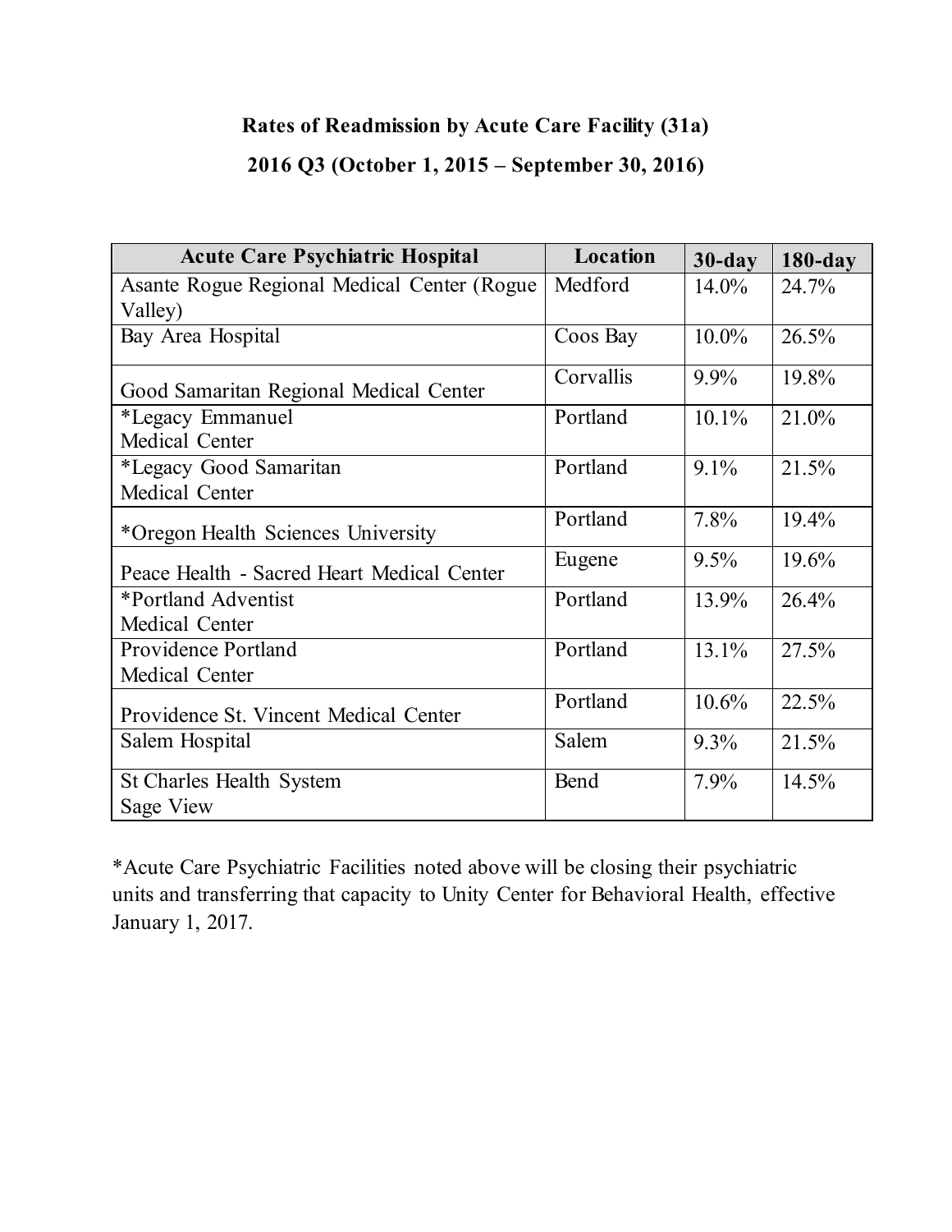# **Rates of Readmission by Acute Care Facility (31a) 2016 Q3 (October 1, 2015 – September 30, 2016)**

| <b>Acute Care Psychiatric Hospital</b>       | Location  | $30$ -day | $180$ -day |
|----------------------------------------------|-----------|-----------|------------|
| Asante Rogue Regional Medical Center (Rogue) | Medford   | $14.0\%$  | 24.7%      |
| Valley)                                      |           |           |            |
| Bay Area Hospital                            | Coos Bay  | $10.0\%$  | 26.5%      |
| Good Samaritan Regional Medical Center       | Corvallis | $9.9\%$   | 19.8%      |
| *Legacy Emmanuel                             | Portland  | $10.1\%$  | 21.0%      |
| Medical Center                               |           |           |            |
| *Legacy Good Samaritan                       | Portland  | 9.1%      | 21.5%      |
| Medical Center                               |           |           |            |
| *Oregon Health Sciences University           | Portland  | 7.8%      | 19.4%      |
| Peace Health - Sacred Heart Medical Center   | Eugene    | 9.5%      | 19.6%      |
| *Portland Adventist                          | Portland  | 13.9%     | 26.4%      |
| Medical Center                               |           |           |            |
| <b>Providence Portland</b>                   | Portland  | 13.1%     | 27.5%      |
| Medical Center                               |           |           |            |
| Providence St. Vincent Medical Center        | Portland  | $10.6\%$  | 22.5%      |
| Salem Hospital                               | Salem     | $9.3\%$   | 21.5%      |
| <b>St Charles Health System</b>              | Bend      | 7.9%      | 14.5%      |
| Sage View                                    |           |           |            |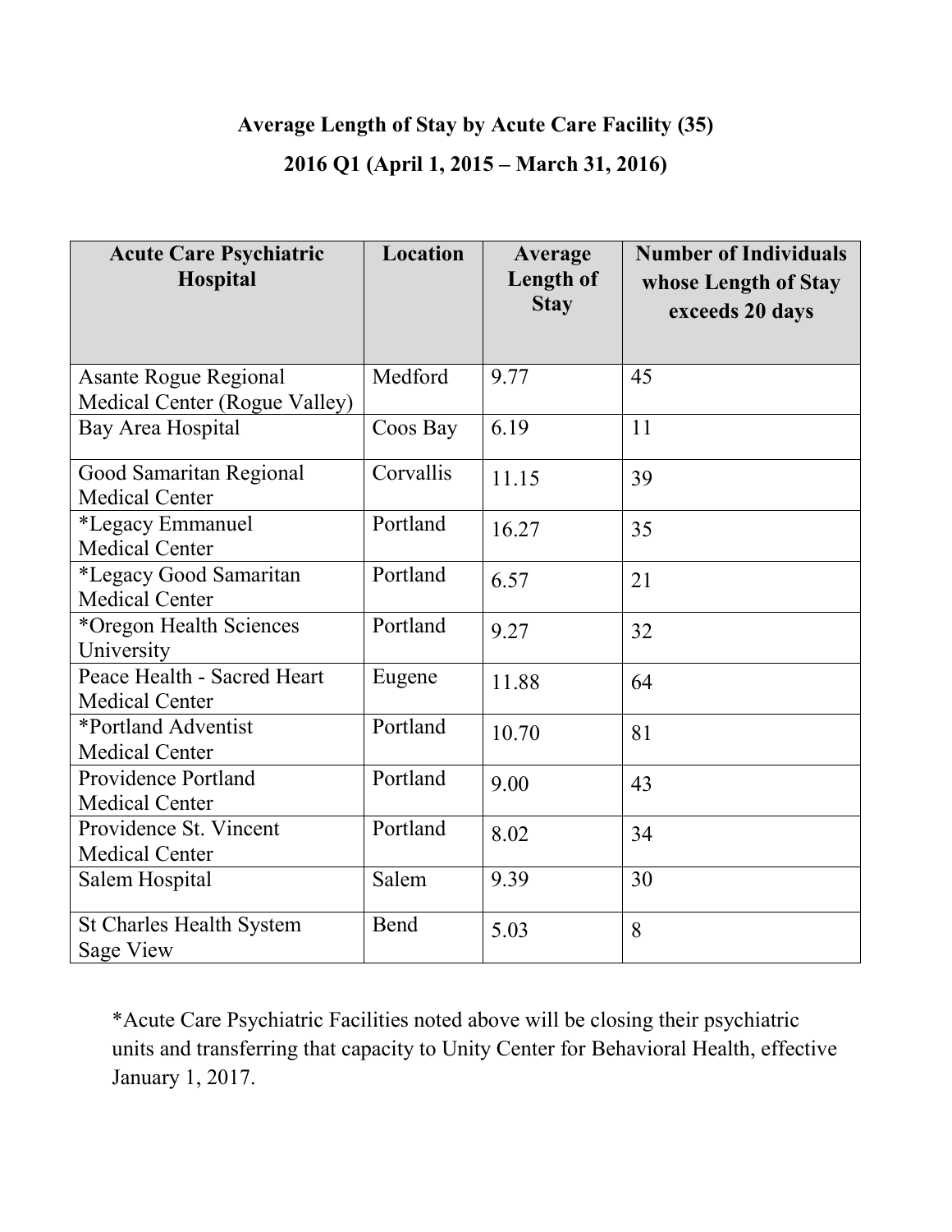# **Average Length of Stay by Acute Care Facility (35)**

### **2016 Q1 (April 1, 2015 – March 31, 2016)**

| <b>Acute Care Psychiatric</b><br>Hospital            | Location  | Average<br>Length of<br><b>Stay</b> | <b>Number of Individuals</b><br>whose Length of Stay<br>exceeds 20 days |
|------------------------------------------------------|-----------|-------------------------------------|-------------------------------------------------------------------------|
| <b>Asante Rogue Regional</b>                         | Medford   | 9.77                                | 45                                                                      |
| Medical Center (Rogue Valley)                        |           |                                     |                                                                         |
| Bay Area Hospital                                    | Coos Bay  | 6.19                                | 11                                                                      |
| Good Samaritan Regional<br><b>Medical Center</b>     | Corvallis | 11.15                               | 39                                                                      |
| *Legacy Emmanuel<br><b>Medical Center</b>            | Portland  | 16.27                               | 35                                                                      |
| *Legacy Good Samaritan<br><b>Medical Center</b>      | Portland  | 6.57                                | 21                                                                      |
| *Oregon Health Sciences<br>University                | Portland  | 9.27                                | 32                                                                      |
| Peace Health - Sacred Heart<br><b>Medical Center</b> | Eugene    | 11.88                               | 64                                                                      |
| *Portland Adventist<br><b>Medical Center</b>         | Portland  | 10.70                               | 81                                                                      |
| <b>Providence Portland</b><br><b>Medical Center</b>  | Portland  | 9.00                                | 43                                                                      |
| Providence St. Vincent<br><b>Medical Center</b>      | Portland  | 8.02                                | 34                                                                      |
| Salem Hospital                                       | Salem     | 9.39                                | 30                                                                      |
| <b>St Charles Health System</b><br><b>Sage View</b>  | Bend      | 5.03                                | 8                                                                       |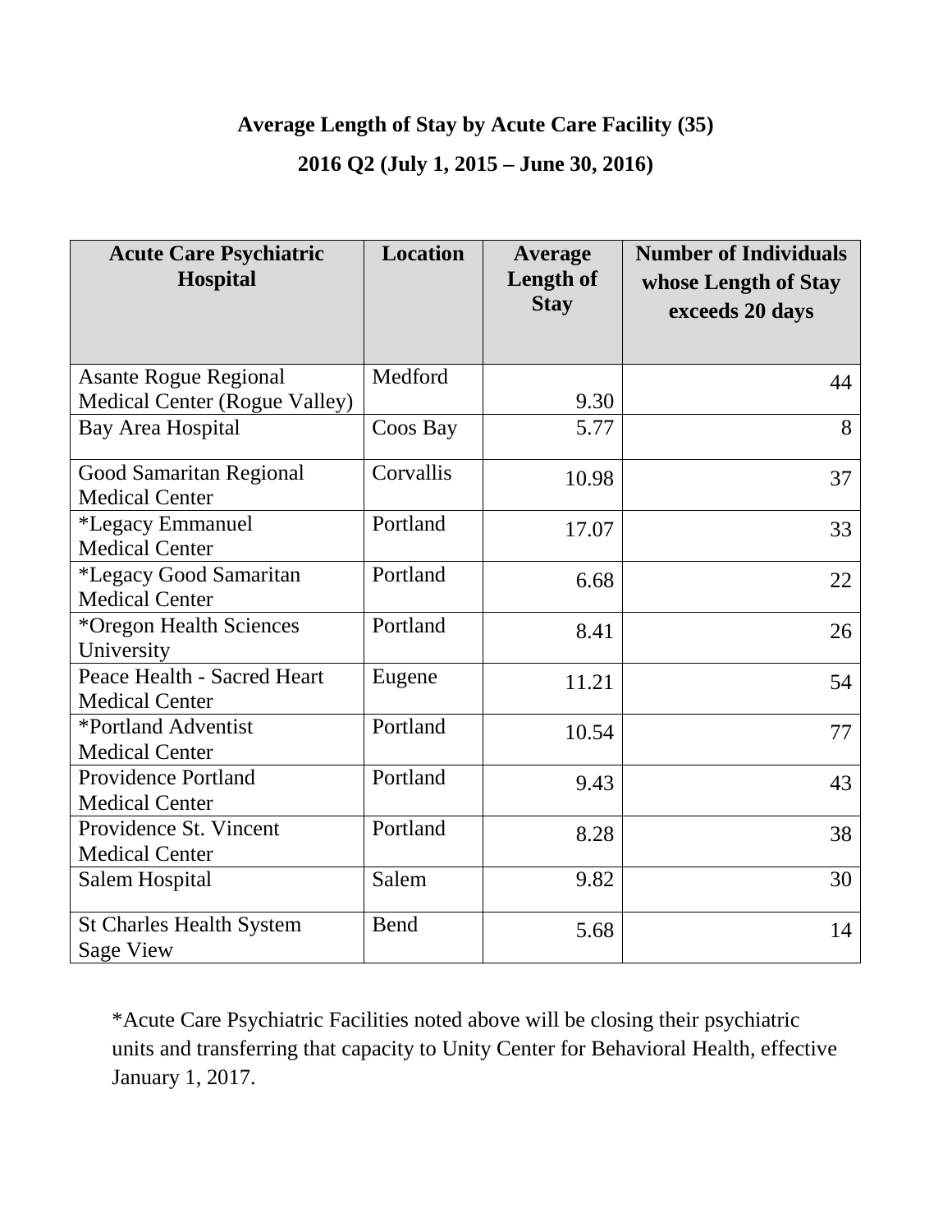# **Average Length of Stay by Acute Care Facility (35)**

### **2016 Q2 (July 1, 2015 – June 30, 2016)**

| <b>Acute Care Psychiatric</b><br><b>Hospital</b> | <b>Location</b> | Average<br><b>Length of</b><br><b>Stay</b> | <b>Number of Individuals</b><br>whose Length of Stay<br>exceeds 20 days |
|--------------------------------------------------|-----------------|--------------------------------------------|-------------------------------------------------------------------------|
|                                                  |                 |                                            |                                                                         |
| <b>Asante Rogue Regional</b>                     | Medford         |                                            | 44                                                                      |
| <b>Medical Center (Rogue Valley)</b>             |                 | 9.30                                       |                                                                         |
| Bay Area Hospital                                | Coos Bay        | 5.77                                       | 8                                                                       |
| Good Samaritan Regional                          | Corvallis       | 10.98                                      | 37                                                                      |
| <b>Medical Center</b>                            |                 |                                            |                                                                         |
| *Legacy Emmanuel                                 | Portland        | 17.07                                      | 33                                                                      |
| <b>Medical Center</b>                            |                 |                                            |                                                                         |
| *Legacy Good Samaritan                           | Portland        | 6.68                                       | 22                                                                      |
| <b>Medical Center</b>                            |                 |                                            |                                                                         |
| *Oregon Health Sciences                          | Portland        | 8.41                                       | 26                                                                      |
| University                                       |                 |                                            |                                                                         |
| Peace Health - Sacred Heart                      | Eugene          | 11.21                                      | 54                                                                      |
| <b>Medical Center</b>                            |                 |                                            |                                                                         |
| *Portland Adventist                              | Portland        | 10.54                                      | 77                                                                      |
| <b>Medical Center</b>                            |                 |                                            |                                                                         |
| Providence Portland                              | Portland        | 9.43                                       | 43                                                                      |
| <b>Medical Center</b>                            |                 |                                            |                                                                         |
| Providence St. Vincent                           | Portland        | 8.28                                       | 38                                                                      |
| <b>Medical Center</b>                            |                 |                                            |                                                                         |
| Salem Hospital                                   | Salem           | 9.82                                       | 30                                                                      |
| <b>St Charles Health System</b>                  | <b>Bend</b>     | 5.68                                       | 14                                                                      |
| <b>Sage View</b>                                 |                 |                                            |                                                                         |